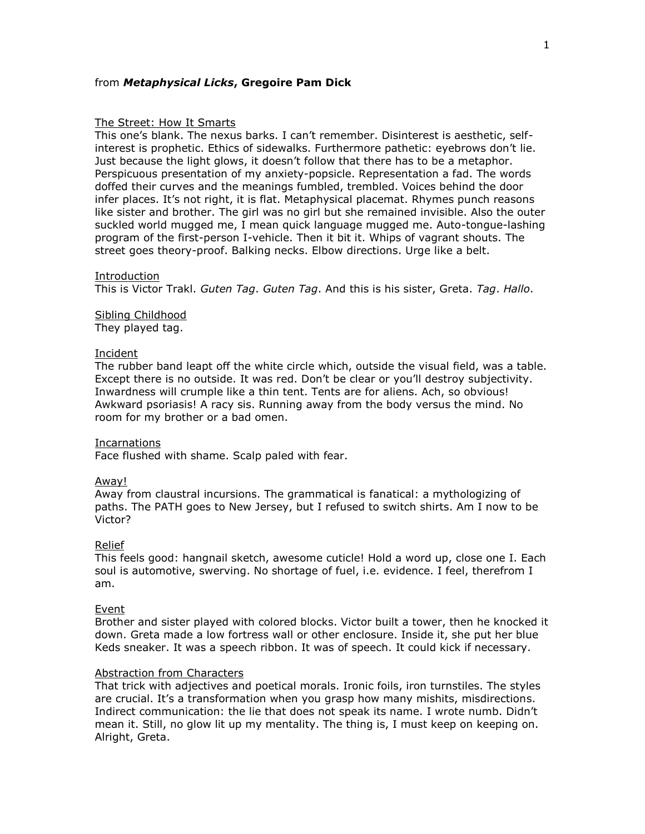## from *Metaphysical Licks***, Gregoire Pam Dick**

### The Street: How It Smarts

This one's blank. The nexus barks. I can't remember. Disinterest is aesthetic, selfinterest is prophetic. Ethics of sidewalks. Furthermore pathetic: eyebrows don't lie. Just because the light glows, it doesn't follow that there has to be a metaphor. Perspicuous presentation of my anxiety-popsicle. Representation a fad. The words doffed their curves and the meanings fumbled, trembled. Voices behind the door infer places. It's not right, it is flat. Metaphysical placemat. Rhymes punch reasons like sister and brother. The girl was no girl but she remained invisible. Also the outer suckled world mugged me, I mean quick language mugged me. Auto-tongue-lashing program of the first-person I-vehicle. Then it bit it. Whips of vagrant shouts. The street goes theory-proof. Balking necks. Elbow directions. Urge like a belt.

### Introduction

This is Victor Trakl. *Guten Tag*. *Guten Tag*. And this is his sister, Greta. *Tag*. *Hallo*.

# Sibling Childhood

They played tag.

### Incident

The rubber band leapt off the white circle which, outside the visual field, was a table. Except there is no outside. It was red. Don't be clear or you'll destroy subjectivity. Inwardness will crumple like a thin tent. Tents are for aliens. Ach, so obvious! Awkward psoriasis! A racy sis. Running away from the body versus the mind. No room for my brother or a bad omen.

## Incarnations

Face flushed with shame. Scalp paled with fear.

### Away!

Away from claustral incursions. The grammatical is fanatical: a mythologizing of paths. The PATH goes to New Jersey, but I refused to switch shirts. Am I now to be Victor?

### Relief

This feels good: hangnail sketch, awesome cuticle! Hold a word up, close one I. Each soul is automotive, swerving. No shortage of fuel, i.e. evidence. I feel, therefrom I am.

## Event

Brother and sister played with colored blocks. Victor built a tower, then he knocked it down. Greta made a low fortress wall or other enclosure. Inside it, she put her blue Keds sneaker. It was a speech ribbon. It was of speech. It could kick if necessary.

# Abstraction from Characters

That trick with adjectives and poetical morals. Ironic foils, iron turnstiles. The styles are crucial. It's a transformation when you grasp how many mishits, misdirections. Indirect communication: the lie that does not speak its name. I wrote numb. Didn't mean it. Still, no glow lit up my mentality. The thing is, I must keep on keeping on. Alright, Greta.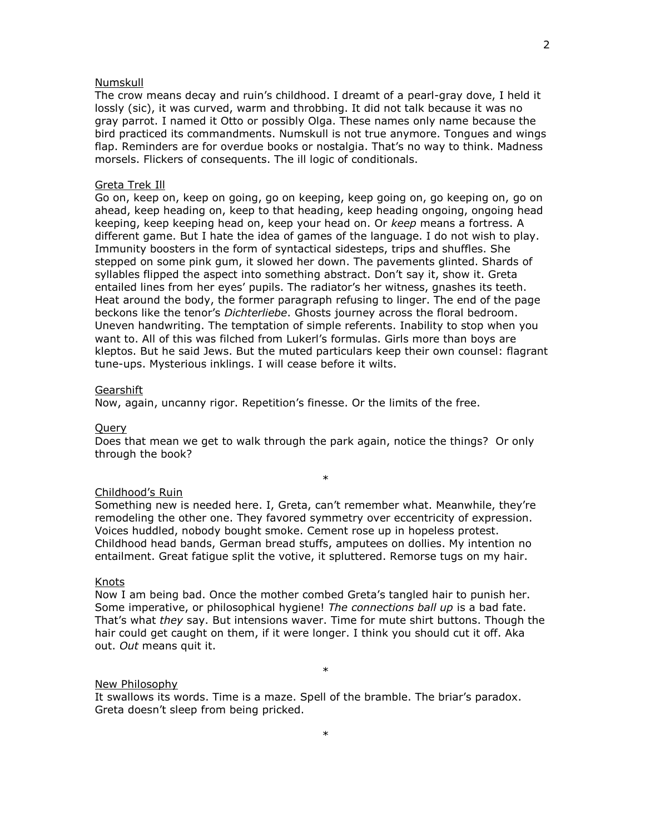## Numskull

The crow means decay and ruin's childhood. I dreamt of a pearl-gray dove, I held it lossly (sic), it was curved, warm and throbbing. It did not talk because it was no gray parrot. I named it Otto or possibly Olga. These names only name because the bird practiced its commandments. Numskull is not true anymore. Tongues and wings flap. Reminders are for overdue books or nostalgia. That's no way to think. Madness morsels. Flickers of consequents. The ill logic of conditionals.

## Greta Trek Ill

Go on, keep on, keep on going, go on keeping, keep going on, go keeping on, go on ahead, keep heading on, keep to that heading, keep heading ongoing, ongoing head keeping, keep keeping head on, keep your head on. Or *keep* means a fortress. A different game. But I hate the idea of games of the language. I do not wish to play. Immunity boosters in the form of syntactical sidesteps, trips and shuffles. She stepped on some pink gum, it slowed her down. The pavements glinted. Shards of syllables flipped the aspect into something abstract. Don't say it, show it. Greta entailed lines from her eyes' pupils. The radiator's her witness, gnashes its teeth. Heat around the body, the former paragraph refusing to linger. The end of the page beckons like the tenor's *Dichterliebe*. Ghosts journey across the floral bedroom. Uneven handwriting. The temptation of simple referents. Inability to stop when you want to. All of this was filched from Lukerl's formulas. Girls more than boys are kleptos. But he said Jews. But the muted particulars keep their own counsel: flagrant tune-ups. Mysterious inklings. I will cease before it wilts.

### **Gearshift**

Now, again, uncanny rigor. Repetition's finesse. Or the limits of the free.

## Query

Does that mean we get to walk through the park again, notice the things? Or only through the book?

\*

## Childhood's Ruin

Something new is needed here. I, Greta, can't remember what. Meanwhile, they're remodeling the other one. They favored symmetry over eccentricity of expression. Voices huddled, nobody bought smoke. Cement rose up in hopeless protest. Childhood head bands, German bread stuffs, amputees on dollies. My intention no entailment. Great fatigue split the votive, it spluttered. Remorse tugs on my hair.

#### Knots

Now I am being bad. Once the mother combed Greta's tangled hair to punish her. Some imperative, or philosophical hygiene! *The connections ball up* is a bad fate. That's what *they* say. But intensions waver. Time for mute shirt buttons. Though the hair could get caught on them, if it were longer. I think you should cut it off. Aka out. *Out* means quit it.

# New Philosophy

It swallows its words. Time is a maze. Spell of the bramble. The briar's paradox. Greta doesn't sleep from being pricked.

\*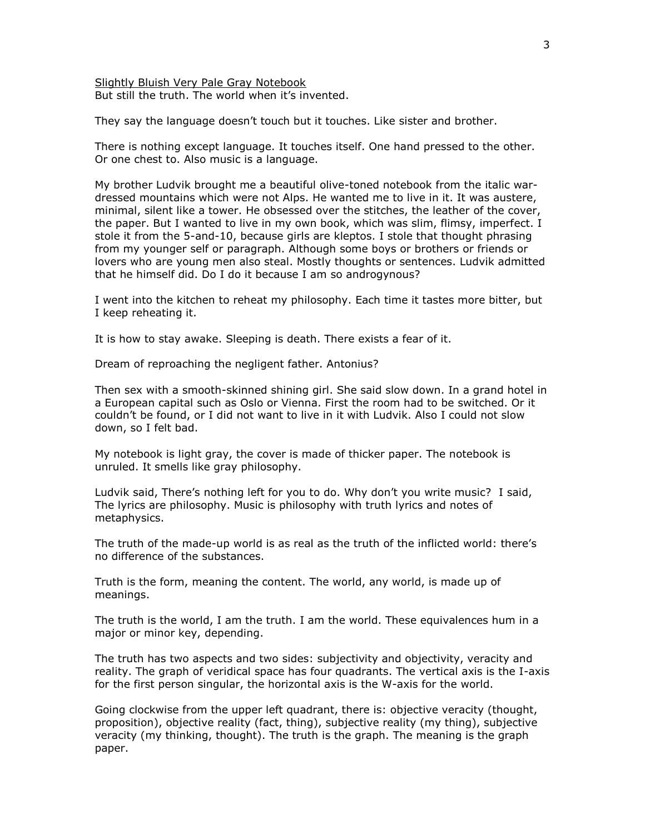Slightly Bluish Very Pale Gray Notebook But still the truth. The world when it's invented.

They say the language doesn't touch but it touches. Like sister and brother.

There is nothing except language. It touches itself. One hand pressed to the other. Or one chest to. Also music is a language.

My brother Ludvik brought me a beautiful olive-toned notebook from the italic wardressed mountains which were not Alps. He wanted me to live in it. It was austere, minimal, silent like a tower. He obsessed over the stitches, the leather of the cover, the paper. But I wanted to live in my own book, which was slim, flimsy, imperfect. I stole it from the 5-and-10, because girls are kleptos. I stole that thought phrasing from my younger self or paragraph. Although some boys or brothers or friends or lovers who are young men also steal. Mostly thoughts or sentences. Ludvik admitted that he himself did. Do I do it because I am so androgynous?

I went into the kitchen to reheat my philosophy. Each time it tastes more bitter, but I keep reheating it.

It is how to stay awake. Sleeping is death. There exists a fear of it.

Dream of reproaching the negligent father. Antonius?

Then sex with a smooth-skinned shining girl. She said slow down. In a grand hotel in a European capital such as Oslo or Vienna. First the room had to be switched. Or it couldn't be found, or I did not want to live in it with Ludvik. Also I could not slow down, so I felt bad.

My notebook is light gray, the cover is made of thicker paper. The notebook is unruled. It smells like gray philosophy.

Ludvik said, There's nothing left for you to do. Why don't you write music? I said, The lyrics are philosophy. Music is philosophy with truth lyrics and notes of metaphysics.

The truth of the made-up world is as real as the truth of the inflicted world: there's no difference of the substances.

Truth is the form, meaning the content. The world, any world, is made up of meanings.

The truth is the world, I am the truth. I am the world. These equivalences hum in a major or minor key, depending.

The truth has two aspects and two sides: subjectivity and objectivity, veracity and reality. The graph of veridical space has four quadrants. The vertical axis is the I-axis for the first person singular, the horizontal axis is the W-axis for the world.

Going clockwise from the upper left quadrant, there is: objective veracity (thought, proposition), objective reality (fact, thing), subjective reality (my thing), subjective veracity (my thinking, thought). The truth is the graph. The meaning is the graph paper.